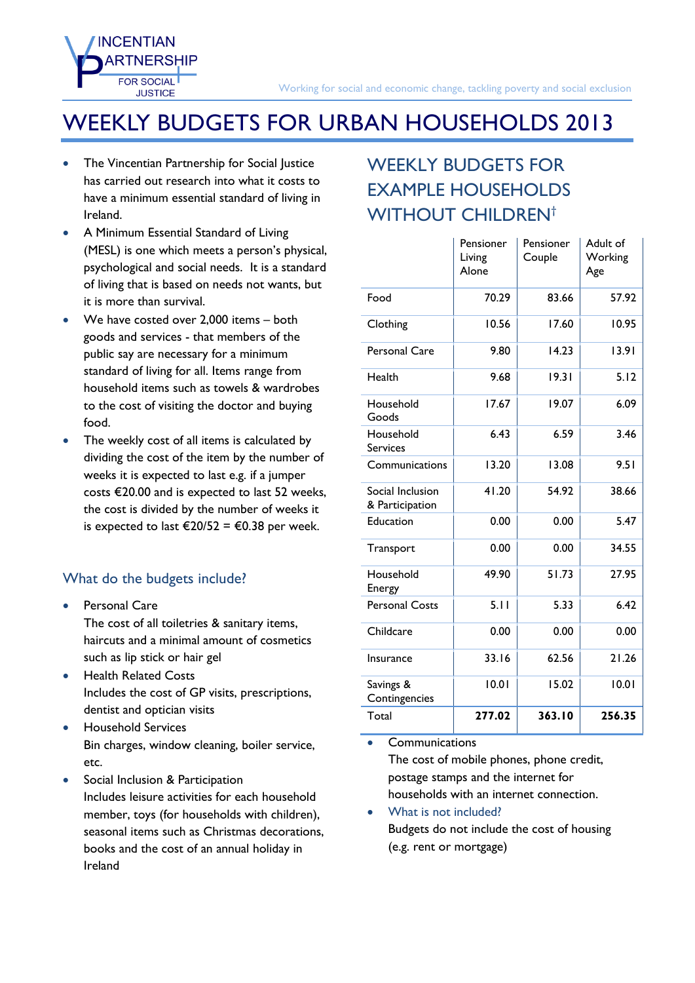## WEEKLY BUDGETS FOR URBAN HOUSEHOLDS 2013

 The Vincentian Partnership for Social Justice has carried out research into what it costs to have a minimum essential standard of living in Ireland.

**INCENTIAN** 

**FOR SOCIAL JUSTICE** 

- A Minimum Essential Standard of Living (MESL) is one which meets a person's physical, psychological and social needs. It is a standard of living that is based on needs not wants, but it is more than survival.
- We have costed over 2,000 items both goods and services - that members of the public say are necessary for a minimum standard of living for all. Items range from household items such as towels & wardrobes to the cost of visiting the doctor and buying food.
- The weekly cost of all items is calculated by dividing the cost of the item by the number of weeks it is expected to last e.g. if a jumper costs €20.00 and is expected to last 52 weeks, the cost is divided by the number of weeks it is expected to last €20/52 = €0.38 per week.

## What do the budgets include?

- Personal Care The cost of all toiletries & sanitary items, haircuts and a minimal amount of cosmetics such as lip stick or hair gel
- **•** Health Related Costs Includes the cost of GP visits, prescriptions, dentist and optician visits
- **•** Household Services Bin charges, window cleaning, boiler service, etc.
- Social Inclusion & Participation Includes leisure activities for each household member, toys (for households with children), seasonal items such as Christmas decorations, books and the cost of an annual holiday in Ireland

## WEEKLY BUDGETS FOR EXAMPLE HOUSEHOLDS WITHOUT CHILDREN<sup>[†](#page-1-0)</sup>

|                                     | Pensioner<br>Living<br>Alone | Pensioner<br>Couple | Adult of<br>Working<br>Age |  |
|-------------------------------------|------------------------------|---------------------|----------------------------|--|
| Food                                | 70.29                        | 83.66               | 57.92                      |  |
| Clothing                            | 10.56                        | 17.60               | 10.95                      |  |
| Personal Care                       | 9.80                         | 14.23               | 13.91                      |  |
| Health                              | 9.68                         | 19.31               | 5.12                       |  |
| Household<br>Goods                  | 17.67                        | 19.07               | 6.09                       |  |
| Household<br><b>Services</b>        | 6.43                         | 6.59                | 3.46                       |  |
| Communications                      | 13.20                        | 13.08               | 9.51                       |  |
| Social Inclusion<br>& Participation | 41.20                        | 54.92               | 38.66                      |  |
| Education                           | 0.00                         | 0.00                | 5.47                       |  |
| Transport                           | 0.00                         | 0.00                | 34.55                      |  |
| Household<br>Energy                 | 49.90                        | 51.73               | 27.95                      |  |
| <b>Personal Costs</b>               | 5.11                         | 5.33                | 6.42                       |  |
| Childcare                           | 0.00                         | 0.00                | 0.00                       |  |
| Insurance                           | 33.16                        | 62.56<br>21.26      |                            |  |
| Savings &<br>Contingencies          | 10.01                        | 15.02               | 10.01                      |  |
| Total                               | 277.02                       | 363.10<br>256.35    |                            |  |

**Communications** 

The cost of mobile phones, phone credit, postage stamps and the internet for households with an internet connection.

 What is not included? Budgets do not include the cost of housing (e.g. rent or mortgage)